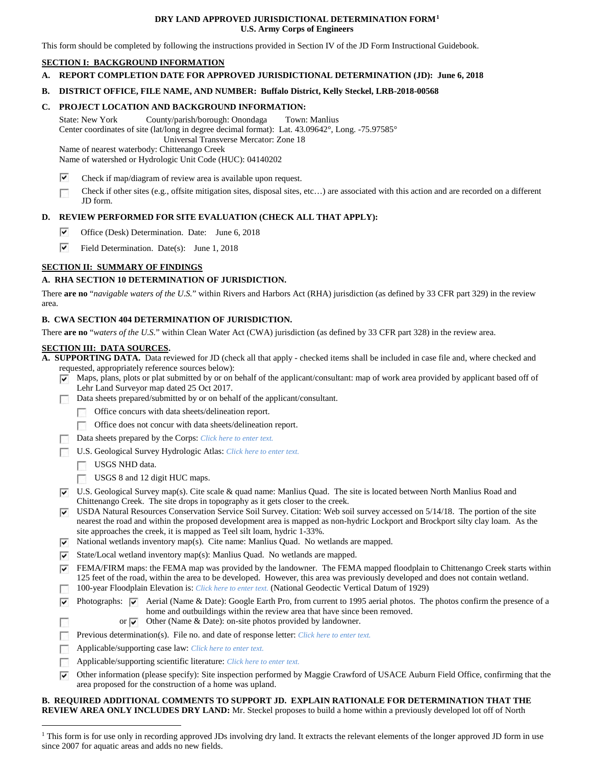#### **DRY LAND APPROVED JURISDICTIONAL DETERMINATION FORM[1](#page-0-0) U.S. Army Corps of Engineers**

This form should be completed by following the instructions provided in Section IV of the JD Form Instructional Guidebook.

# **SECTION I: BACKGROUND INFORMATION**

**A. REPORT COMPLETION DATE FOR APPROVED JURISDICTIONAL DETERMINATION (JD): June 6, 2018**

#### **B. DISTRICT OFFICE, FILE NAME, AND NUMBER: Buffalo District, Kelly Steckel, LRB-2018-00568**

#### **C. PROJECT LOCATION AND BACKGROUND INFORMATION:**

State: New York County/parish/borough: Onondaga Town: Manlius Center coordinates of site (lat/long in degree decimal format): Lat. 43.09642°, Long. -75.97585° Universal Transverse Mercator: Zone 18

Name of nearest waterbody: Chittenango Creek

Name of watershed or Hydrologic Unit Code (HUC): 04140202

- ⊽ Check if map/diagram of review area is available upon request.
- Check if other sites (e.g., offsite mitigation sites, disposal sites, etc…) are associated with this action and are recorded on a different  $\overline{\phantom{a}}$ JD form.

# **D. REVIEW PERFORMED FOR SITE EVALUATION (CHECK ALL THAT APPLY):**

- ⊽ Office (Desk) Determination. Date: June 6, 2018
- ⊽ Field Determination. Date(s): June 1, 2018

# **SECTION II: SUMMARY OF FINDINGS**

# **A. RHA SECTION 10 DETERMINATION OF JURISDICTION.**

There **are no** "*navigable waters of the U.S.*" within Rivers and Harbors Act (RHA) jurisdiction (as defined by 33 CFR part 329) in the review area.

# **B. CWA SECTION 404 DETERMINATION OF JURISDICTION.**

There **are no** "*waters of the U.S.*" within Clean Water Act (CWA) jurisdiction (as defined by 33 CFR part 328) in the review area.

#### **SECTION III: DATA SOURCES.**

**A. SUPPORTING DATA.** Data reviewed for JD (check all that apply - checked items shall be included in case file and, where checked and requested, appropriately reference sources below):

- $\triangledown$  Maps, plans, plots or plat submitted by or on behalf of the applicant/consultant: map of work area provided by applicant based off of Lehr Land Surveyor map dated 25 Oct 2017.
- Data sheets prepared/submitted by or on behalf of the applicant/consultant.
	- Office concurs with data sheets/delineation report.
	- Office does not concur with data sheets/delineation report.
	- Data sheets prepared by the Corps: *Click here to enter text.*
- U.S. Geological Survey Hydrologic Atlas: *Click here to enter text.*
	- USGS NHD data.
	- USGS 8 and 12 digit HUC maps.
- $\nabla$  U.S. Geological Survey map(s). Cite scale & quad name: Manlius Quad. The site is located between North Manlius Road and Chittenango Creek. The site drops in topography as it gets closer to the creek.
- USDA Natural Resources Conservation Service Soil Survey. Citation: Web soil survey accessed on  $5/14/18$ . The portion of the site nearest the road and within the proposed development area is mapped as non-hydric Lockport and Brockport silty clay loam. As the site approaches the creek, it is mapped as Teel silt loam, hydric 1-33%.
- $\nabla$  National wetlands inventory map(s). Cite name: Manlius Quad. No wetlands are mapped.
- State/Local wetland inventory map(s): Manlius Quad. No wetlands are mapped.
- $\blacktriangledown$  FEMA/FIRM maps: the FEMA map was provided by the landowner. The FEMA mapped floodplain to Chittenango Creek starts within 125 feet of the road, within the area to be developed. However, this area was previously developed and does not contain wetland.
- 100-year Floodplain Elevation is: *Click here to enter text.* (National Geodectic Vertical Datum of 1929)
- Photographs:  $\boxed{\bullet}$  Aerial (Name & Date): Google Earth Pro, from current to 1995 aerial photos. The photos confirm the presence of a home and outbuildings within the review area that have since been removed. or  $\vee$  Other (Name & Date): on-site photos provided by landowner.
	- Previous determination(s). File no. and date of response letter: *Click here to enter text.*
- Г Applicable/supporting case law: *Click here to enter text.* г
- Applicable/supporting scientific literature: *Click here to enter text.* п
- Other information (please specify): Site inspection performed by Maggie Crawford of USACE Auburn Field Office, confirming that the  $\overline{\mathbf{v}}$ area proposed for the construction of a home was upland.

#### **B. REQUIRED ADDITIONAL COMMENTS TO SUPPORT JD. EXPLAIN RATIONALE FOR DETERMINATION THAT THE REVIEW AREA ONLY INCLUDES DRY LAND:** Mr. Steckel proposes to build a home within a previously developed lot off of North

<span id="page-0-0"></span><sup>&</sup>lt;sup>1</sup> This form is for use only in recording approved JDs involving dry land. It extracts the relevant elements of the longer approved JD form in use since 2007 for aquatic areas and adds no new fields.